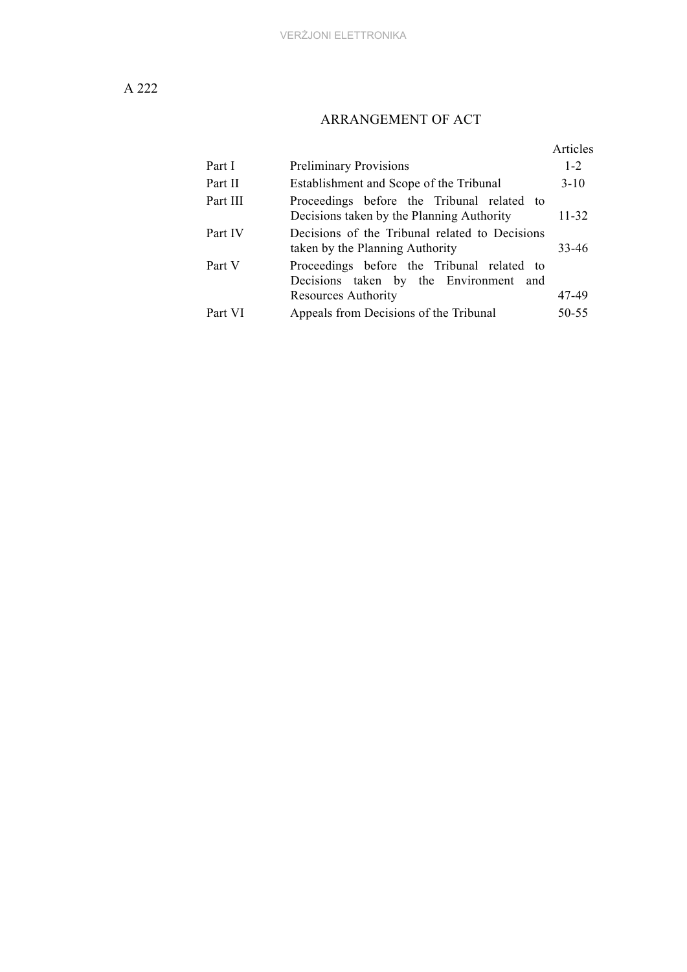# ARRANGEMENT OF ACT

|          |                                                                                         | Articles |
|----------|-----------------------------------------------------------------------------------------|----------|
| Part I   | <b>Preliminary Provisions</b>                                                           | $1 - 2$  |
| Part II  | Establishment and Scope of the Tribunal                                                 | $3-10$   |
| Part III | Proceedings before the Tribunal related to<br>Decisions taken by the Planning Authority | 11-32    |
| Part IV  | Decisions of the Tribunal related to Decisions<br>taken by the Planning Authority       | 33-46    |
| Part V   | Proceedings before the Tribunal related to<br>Decisions taken by the Environment and    |          |
|          | Resources Authority                                                                     | 47-49    |
| Part VI  | Appeals from Decisions of the Tribunal                                                  | 50-55    |
|          |                                                                                         |          |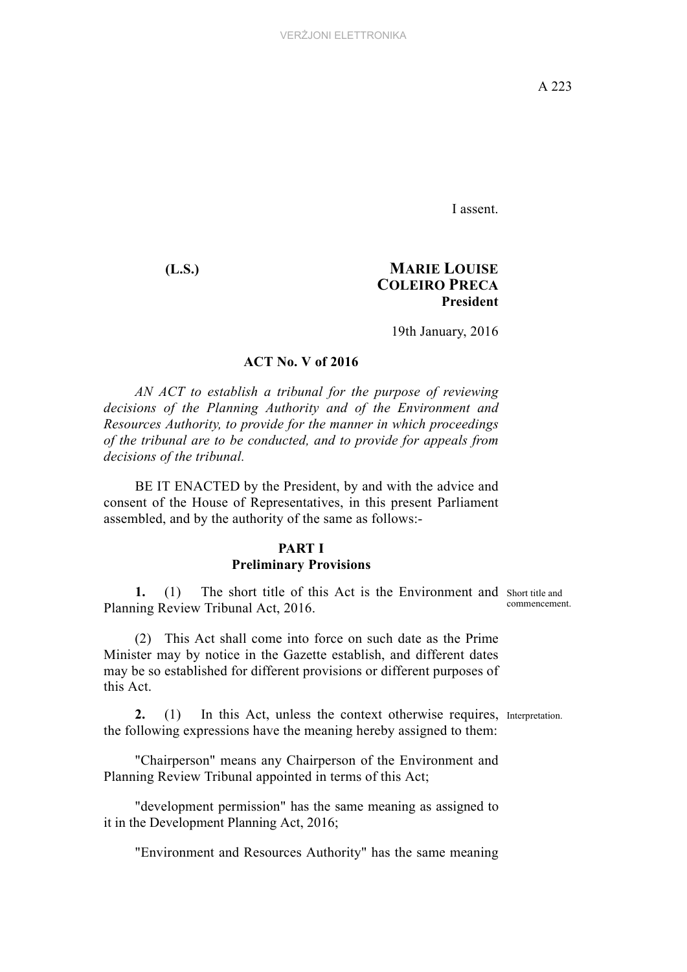I assent.

## **(L.S.) MARIE LOUISE COLEIRO PRECA President**

19th January, 2016

#### **ACT No. V of 2016**

*AN ACT to establish a tribunal for the purpose of reviewing decisions of the Planning Authority and of the Environment and Resources Authority, to provide for the manner in which proceedings of the tribunal are to be conducted, and to provide for appeals from decisions of the tribunal.*

BE IT ENACTED by the President, by and with the advice and consent of the House of Representatives, in this present Parliament assembled, and by the authority of the same as follows:-

#### **PART I Preliminary Provisions**

1. (1) The short title of this Act is the Environment and Short title and Planning Review Tribunal Act, 2016.

commencement.

(2) This Act shall come into force on such date as the Prime Minister may by notice in the Gazette establish, and different dates may be so established for different provisions or different purposes of this Act.

**2.** (1) In this Act, unless the context otherwise requires, Interpretation. the following expressions have the meaning hereby assigned to them:

"Chairperson" means any Chairperson of the Environment and Planning Review Tribunal appointed in terms of this Act;

"development permission" has the same meaning as assigned to it in the Development Planning Act, 2016;

"Environment and Resources Authority" has the same meaning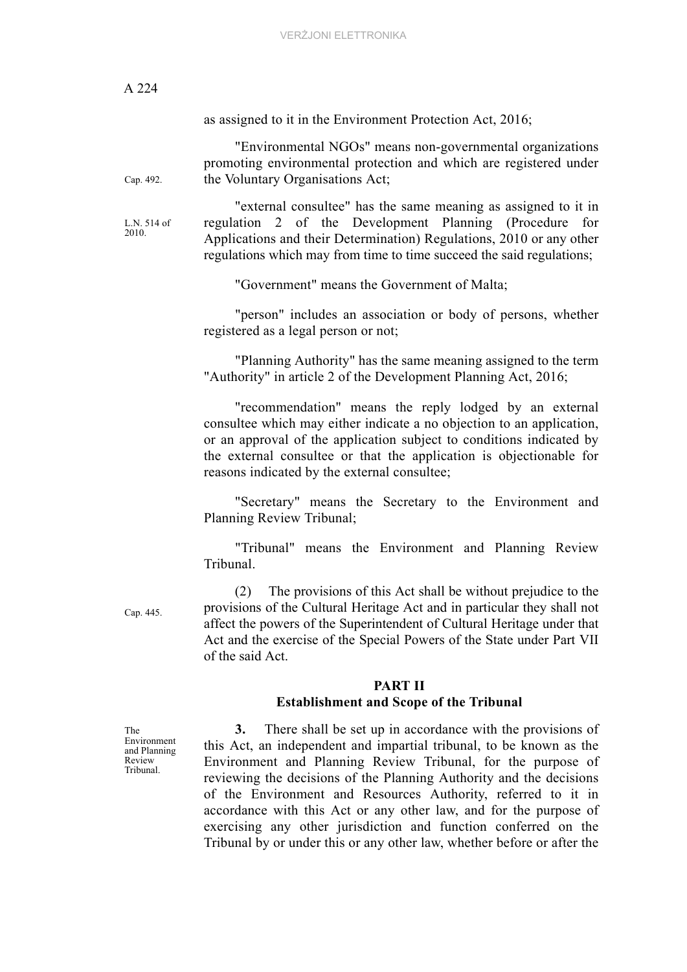A 224 as assigned to it in the Environment Protection Act, 2016; Cap. 492. "Environmental NGOs" means non-governmental organizations promoting environmental protection and which are registered under the Voluntary Organisations Act; L.N. 514 of 2010. "external consultee" has the same meaning as assigned to it in regulation 2 of the Development Planning (Procedure for Applications and their Determination) Regulations, 2010 or any other regulations which may from time to time succeed the said regulations; "Government" means the Government of Malta; "person" includes an association or body of persons, whether registered as a legal person or not; "Planning Authority" has the same meaning assigned to the term "Authority" in article 2 of the Development Planning Act, 2016; "recommendation" means the reply lodged by an external consultee which may either indicate a no objection to an application, or an approval of the application subject to conditions indicated by the external consultee or that the application is objectionable for reasons indicated by the external consultee; "Secretary" means the Secretary to the Environment and Planning Review Tribunal; "Tribunal" means the Environment and Planning Review Tribunal. Cap. 445. (2) The provisions of this Act shall be without prejudice to the provisions of the Cultural Heritage Act and in particular they shall not affect the powers of the Superintendent of Cultural Heritage under that Act and the exercise of the Special Powers of the State under Part VII of the said Act. **PART II Establishment and Scope of the Tribunal**  The Environment and Planning Review Tribunal. **3.** There shall be set up in accordance with the provisions of this Act, an independent and impartial tribunal, to be known as the Environment and Planning Review Tribunal, for the purpose of reviewing the decisions of the Planning Authority and the decisions of the Environment and Resources Authority, referred to it in

> accordance with this Act or any other law, and for the purpose of exercising any other jurisdiction and function conferred on the Tribunal by or under this or any other law, whether before or after the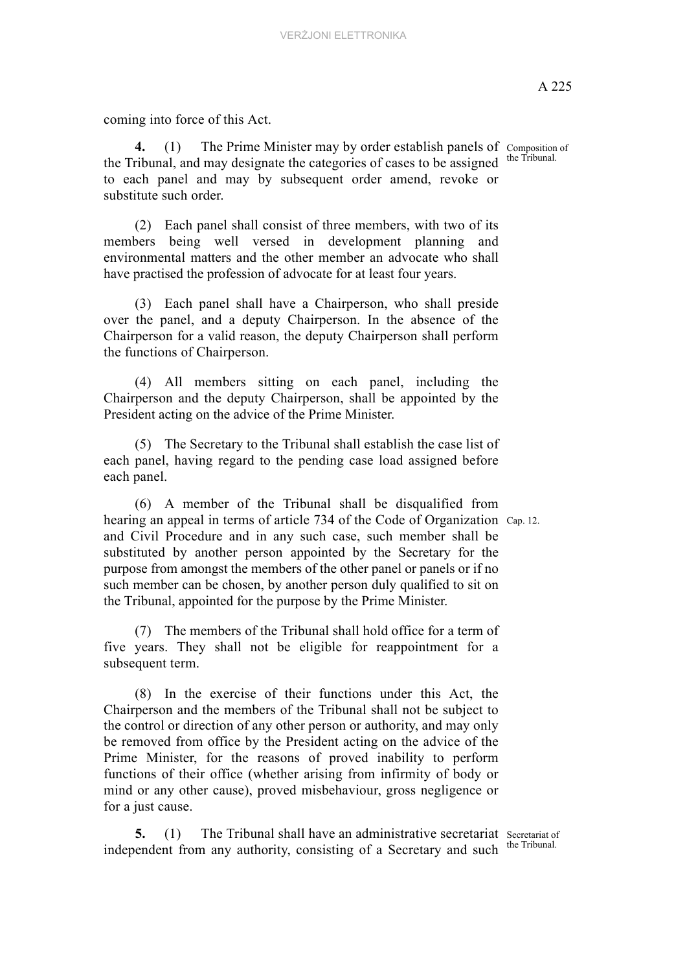coming into force of this Act.

4. (1) The Prime Minister may by order establish panels of Composition of the Tribunal, and may designate the categories of cases to be assigned to each panel and may by subsequent order amend, revoke or substitute such order.

(2) Each panel shall consist of three members, with two of its members being well versed in development planning and environmental matters and the other member an advocate who shall have practised the profession of advocate for at least four years.

(3) Each panel shall have a Chairperson, who shall preside over the panel, and a deputy Chairperson. In the absence of the Chairperson for a valid reason, the deputy Chairperson shall perform the functions of Chairperson.

(4) All members sitting on each panel, including the Chairperson and the deputy Chairperson, shall be appointed by the President acting on the advice of the Prime Minister.

(5) The Secretary to the Tribunal shall establish the case list of each panel, having regard to the pending case load assigned before each panel.

hearing an appeal in terms of article 734 of the Code of Organization Cap. 12. (6) A member of the Tribunal shall be disqualified from and Civil Procedure and in any such case, such member shall be substituted by another person appointed by the Secretary for the purpose from amongst the members of the other panel or panels or if no such member can be chosen, by another person duly qualified to sit on the Tribunal, appointed for the purpose by the Prime Minister.

(7) The members of the Tribunal shall hold office for a term of five years. They shall not be eligible for reappointment for a subsequent term.

(8) In the exercise of their functions under this Act, the Chairperson and the members of the Tribunal shall not be subject to the control or direction of any other person or authority, and may only be removed from office by the President acting on the advice of the Prime Minister, for the reasons of proved inability to perform functions of their office (whether arising from infirmity of body or mind or any other cause), proved misbehaviour, gross negligence or for a just cause.

**5.** (1) The Tribunal shall have an administrative secretariat Secretariat of independent from any authority, consisting of a Secretary and such

the Tribunal.

the Tribunal.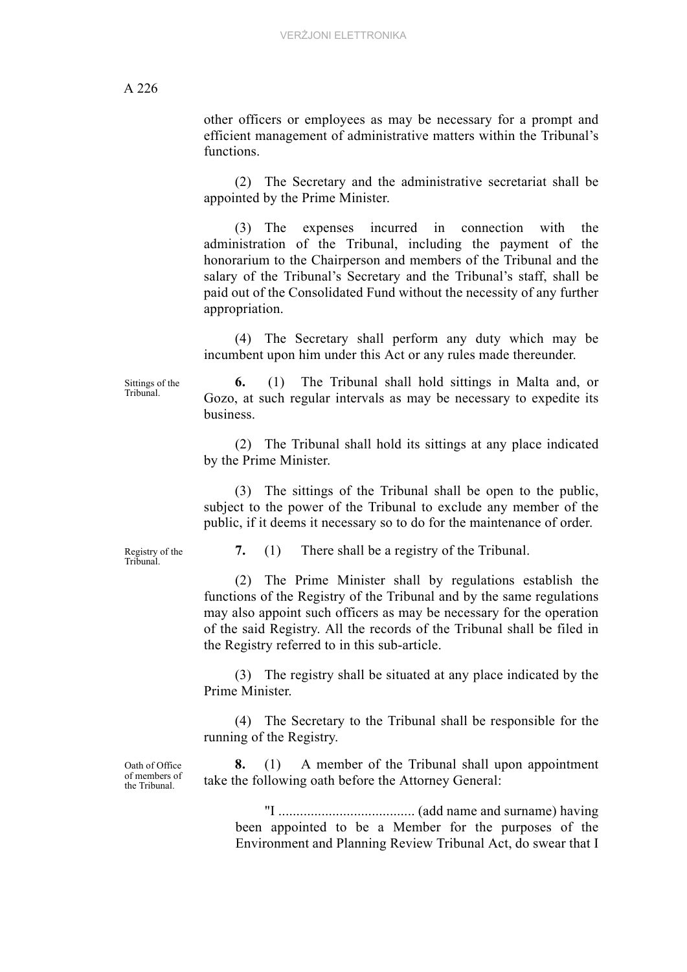other officers or employees as may be necessary for a prompt and efficient management of administrative matters within the Tribunal's functions.

(2) The Secretary and the administrative secretariat shall be appointed by the Prime Minister.

(3) The expenses incurred in connection with the administration of the Tribunal, including the payment of the honorarium to the Chairperson and members of the Tribunal and the salary of the Tribunal's Secretary and the Tribunal's staff, shall be paid out of the Consolidated Fund without the necessity of any further appropriation.

(4) The Secretary shall perform any duty which may be incumbent upon him under this Act or any rules made thereunder.

Sittings of the Tribunal.

**6.** (1) The Tribunal shall hold sittings in Malta and, or Gozo, at such regular intervals as may be necessary to expedite its business.

(2) The Tribunal shall hold its sittings at any place indicated by the Prime Minister.

(3) The sittings of the Tribunal shall be open to the public, subject to the power of the Tribunal to exclude any member of the public, if it deems it necessary so to do for the maintenance of order.

Registry of the Tribunal.

**7.** (1) There shall be a registry of the Tribunal.

(2) The Prime Minister shall by regulations establish the functions of the Registry of the Tribunal and by the same regulations may also appoint such officers as may be necessary for the operation of the said Registry. All the records of the Tribunal shall be filed in the Registry referred to in this sub-article.

(3) The registry shall be situated at any place indicated by the Prime Minister.

(4) The Secretary to the Tribunal shall be responsible for the running of the Registry.

Oath of Office of members of the Tribunal.

**8.** (1) A member of the Tribunal shall upon appointment take the following oath before the Attorney General:

"I ...................................... (add name and surname) having been appointed to be a Member for the purposes of the Environment and Planning Review Tribunal Act, do swear that I

A 226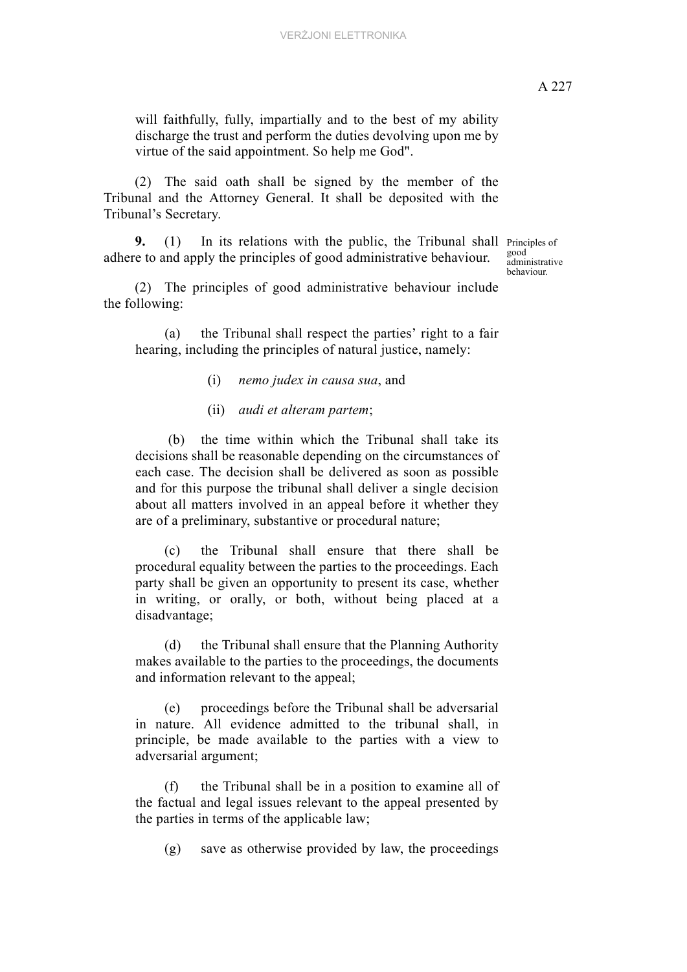will faithfully, fully, impartially and to the best of my ability discharge the trust and perform the duties devolving upon me by virtue of the said appointment. So help me God".

(2) The said oath shall be signed by the member of the Tribunal and the Attorney General. It shall be deposited with the Tribunal's Secretary.

**9.** (1) In its relations with the public, the Tribunal shall Principles of adhere to and apply the principles of good administrative behaviour.

good administrative behaviour.

(2) The principles of good administrative behaviour include the following:

(a) the Tribunal shall respect the parties' right to a fair hearing, including the principles of natural justice, namely:

- (i) *nemo judex in causa sua*, and
- (ii) *audi et alteram partem*;

 (b) the time within which the Tribunal shall take its decisions shall be reasonable depending on the circumstances of each case. The decision shall be delivered as soon as possible and for this purpose the tribunal shall deliver a single decision about all matters involved in an appeal before it whether they are of a preliminary, substantive or procedural nature;

(c) the Tribunal shall ensure that there shall be procedural equality between the parties to the proceedings. Each party shall be given an opportunity to present its case, whether in writing, or orally, or both, without being placed at a disadvantage;

(d) the Tribunal shall ensure that the Planning Authority makes available to the parties to the proceedings, the documents and information relevant to the appeal;

(e) proceedings before the Tribunal shall be adversarial in nature. All evidence admitted to the tribunal shall, in principle, be made available to the parties with a view to adversarial argument;

(f) the Tribunal shall be in a position to examine all of the factual and legal issues relevant to the appeal presented by the parties in terms of the applicable law;

(g) save as otherwise provided by law, the proceedings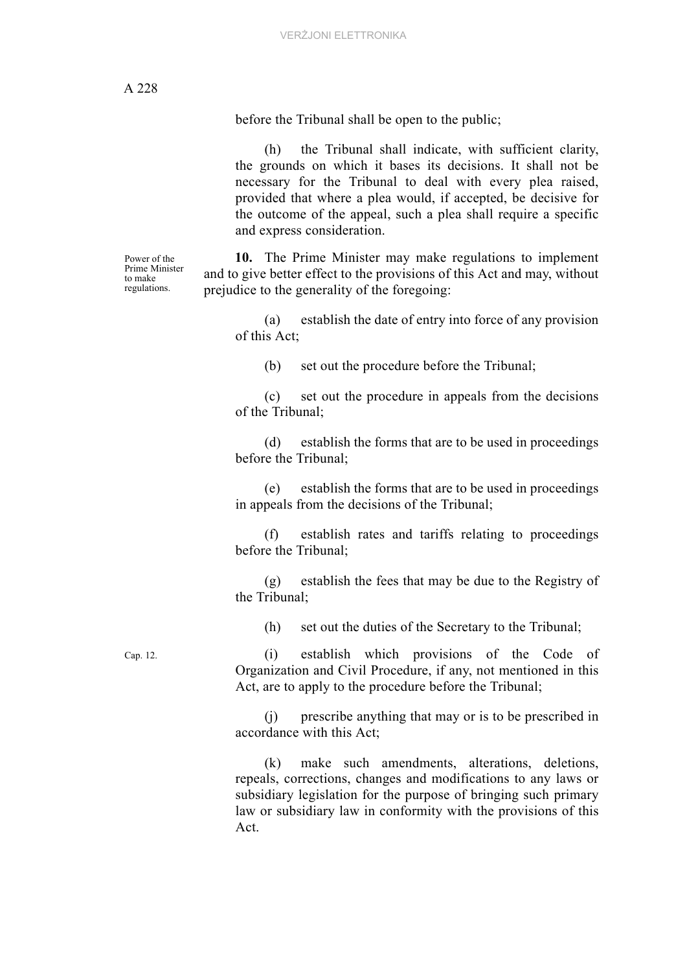Power of the Prime Minister to make regulations.

before the Tribunal shall be open to the public;

(h) the Tribunal shall indicate, with sufficient clarity, the grounds on which it bases its decisions. It shall not be necessary for the Tribunal to deal with every plea raised, provided that where a plea would, if accepted, be decisive for the outcome of the appeal, such a plea shall require a specific and express consideration.

**10.** The Prime Minister may make regulations to implement and to give better effect to the provisions of this Act and may, without prejudice to the generality of the foregoing:

(a) establish the date of entry into force of any provision of this Act;

(b) set out the procedure before the Tribunal;

(c) set out the procedure in appeals from the decisions of the Tribunal;

(d) establish the forms that are to be used in proceedings before the Tribunal;

(e) establish the forms that are to be used in proceedings in appeals from the decisions of the Tribunal;

(f) establish rates and tariffs relating to proceedings before the Tribunal;

(g) establish the fees that may be due to the Registry of the Tribunal;

(h) set out the duties of the Secretary to the Tribunal;

Cap. 12. (i) establish which provisions of the Code of Organization and Civil Procedure, if any, not mentioned in this Act, are to apply to the procedure before the Tribunal;

> (j) prescribe anything that may or is to be prescribed in accordance with this Act;

> (k) make such amendments, alterations, deletions, repeals, corrections, changes and modifications to any laws or subsidiary legislation for the purpose of bringing such primary law or subsidiary law in conformity with the provisions of this Act.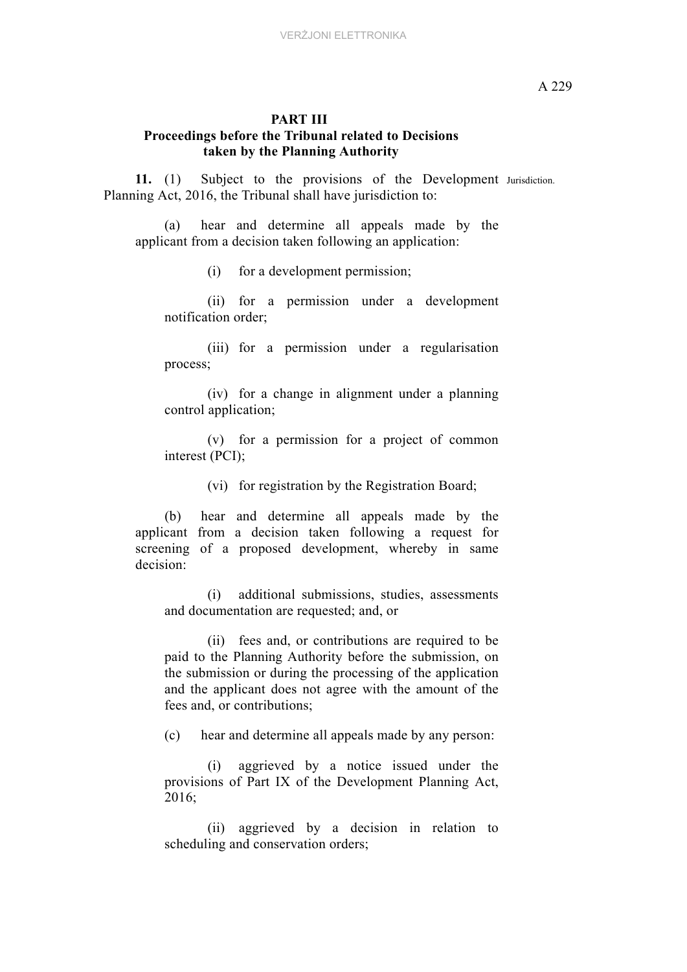#### **PART III Proceedings before the Tribunal related to Decisions taken by the Planning Authority**

**11.** (1) Subject to the provisions of the Development Jurisdiction. Planning Act, 2016, the Tribunal shall have jurisdiction to:

(a) hear and determine all appeals made by the applicant from a decision taken following an application:

(i) for a development permission;

(ii) for a permission under a development notification order;

(iii) for a permission under a regularisation process;

(iv) for a change in alignment under a planning control application;

(v) for a permission for a project of common interest (PCI);

(vi) for registration by the Registration Board;

(b) hear and determine all appeals made by the applicant from a decision taken following a request for screening of a proposed development, whereby in same decision:

(i) additional submissions, studies, assessments and documentation are requested; and, or

(ii) fees and, or contributions are required to be paid to the Planning Authority before the submission, on the submission or during the processing of the application and the applicant does not agree with the amount of the fees and, or contributions;

(c) hear and determine all appeals made by any person:

(i) aggrieved by a notice issued under the provisions of Part IX of the Development Planning Act, 2016;

(ii) aggrieved by a decision in relation to scheduling and conservation orders;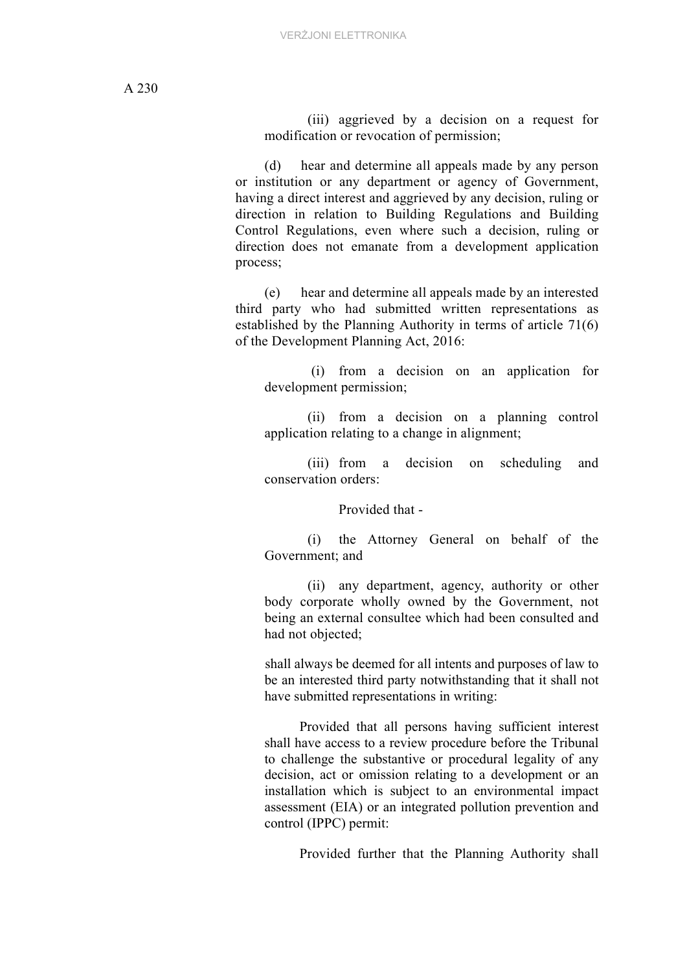(iii) aggrieved by a decision on a request for modification or revocation of permission;

(d) hear and determine all appeals made by any person or institution or any department or agency of Government, having a direct interest and aggrieved by any decision, ruling or direction in relation to Building Regulations and Building Control Regulations, even where such a decision, ruling or direction does not emanate from a development application process;

(e) hear and determine all appeals made by an interested third party who had submitted written representations as established by the Planning Authority in terms of article 71(6) of the Development Planning Act, 2016:

 (i) from a decision on an application for development permission;

(ii) from a decision on a planning control application relating to a change in alignment;

(iii) from a decision on scheduling and conservation orders:

Provided that -

(i) the Attorney General on behalf of the Government; and

(ii) any department, agency, authority or other body corporate wholly owned by the Government, not being an external consultee which had been consulted and had not objected;

shall always be deemed for all intents and purposes of law to be an interested third party notwithstanding that it shall not have submitted representations in writing:

Provided that all persons having sufficient interest shall have access to a review procedure before the Tribunal to challenge the substantive or procedural legality of any decision, act or omission relating to a development or an installation which is subject to an environmental impact assessment (EIA) or an integrated pollution prevention and control (IPPC) permit:

Provided further that the Planning Authority shall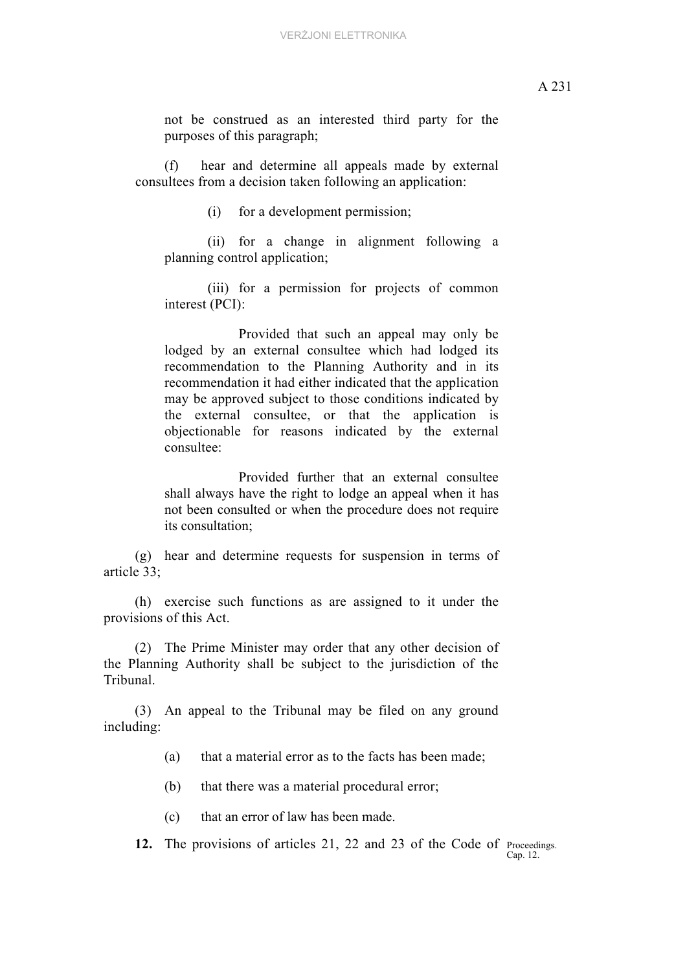not be construed as an interested third party for the purposes of this paragraph;

(f) hear and determine all appeals made by external consultees from a decision taken following an application:

(i) for a development permission;

(ii) for a change in alignment following a planning control application;

(iii) for a permission for projects of common interest (PCI):

Provided that such an appeal may only be lodged by an external consultee which had lodged its recommendation to the Planning Authority and in its recommendation it had either indicated that the application may be approved subject to those conditions indicated by the external consultee, or that the application is objectionable for reasons indicated by the external consultee:

Provided further that an external consultee shall always have the right to lodge an appeal when it has not been consulted or when the procedure does not require its consultation;

(g) hear and determine requests for suspension in terms of article 33;

(h) exercise such functions as are assigned to it under the provisions of this Act.

(2) The Prime Minister may order that any other decision of the Planning Authority shall be subject to the jurisdiction of the Tribunal.

(3) An appeal to the Tribunal may be filed on any ground including:

(a) that a material error as to the facts has been made;

(b) that there was a material procedural error;

(c) that an error of law has been made.

12. The provisions of articles 21, 22 and 23 of the Code of Proceedings. Cap. 12.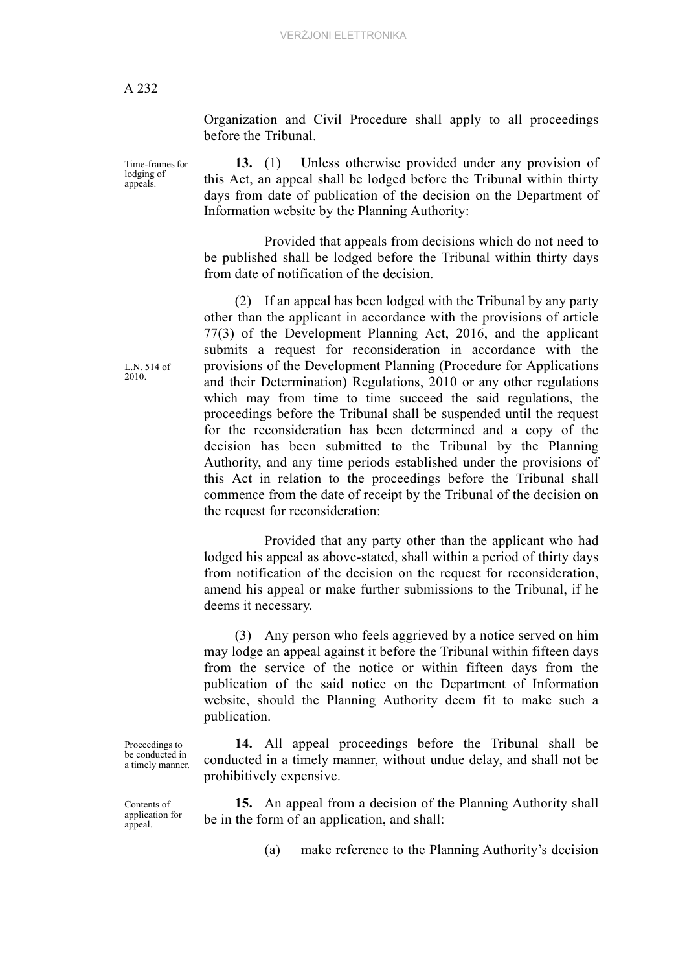lodging of appeals.

Organization and Civil Procedure shall apply to all proceedings before the Tribunal.

Time-frames for **13.** (1) Unless otherwise provided under any provision of this Act, an appeal shall be lodged before the Tribunal within thirty days from date of publication of the decision on the Department of Information website by the Planning Authority:

> Provided that appeals from decisions which do not need to be published shall be lodged before the Tribunal within thirty days from date of notification of the decision.

> (2) If an appeal has been lodged with the Tribunal by any party other than the applicant in accordance with the provisions of article 77(3) of the Development Planning Act, 2016, and the applicant submits a request for reconsideration in accordance with the provisions of the Development Planning (Procedure for Applications and their Determination) Regulations, 2010 or any other regulations which may from time to time succeed the said regulations, the proceedings before the Tribunal shall be suspended until the request for the reconsideration has been determined and a copy of the decision has been submitted to the Tribunal by the Planning Authority, and any time periods established under the provisions of this Act in relation to the proceedings before the Tribunal shall commence from the date of receipt by the Tribunal of the decision on the request for reconsideration:

> Provided that any party other than the applicant who had lodged his appeal as above-stated, shall within a period of thirty days from notification of the decision on the request for reconsideration, amend his appeal or make further submissions to the Tribunal, if he deems it necessary.

> (3) Any person who feels aggrieved by a notice served on him may lodge an appeal against it before the Tribunal within fifteen days from the service of the notice or within fifteen days from the publication of the said notice on the Department of Information website, should the Planning Authority deem fit to make such a publication.

> **14.** All appeal proceedings before the Tribunal shall be conducted in a timely manner, without undue delay, and shall not be prohibitively expensive.

> **15.** An appeal from a decision of the Planning Authority shall be in the form of an application, and shall:

> > (a) make reference to the Planning Authority's decision

Proceedings to be conducted in a timely manner.

Contents of application for appeal.

L.N. 514 of 2010.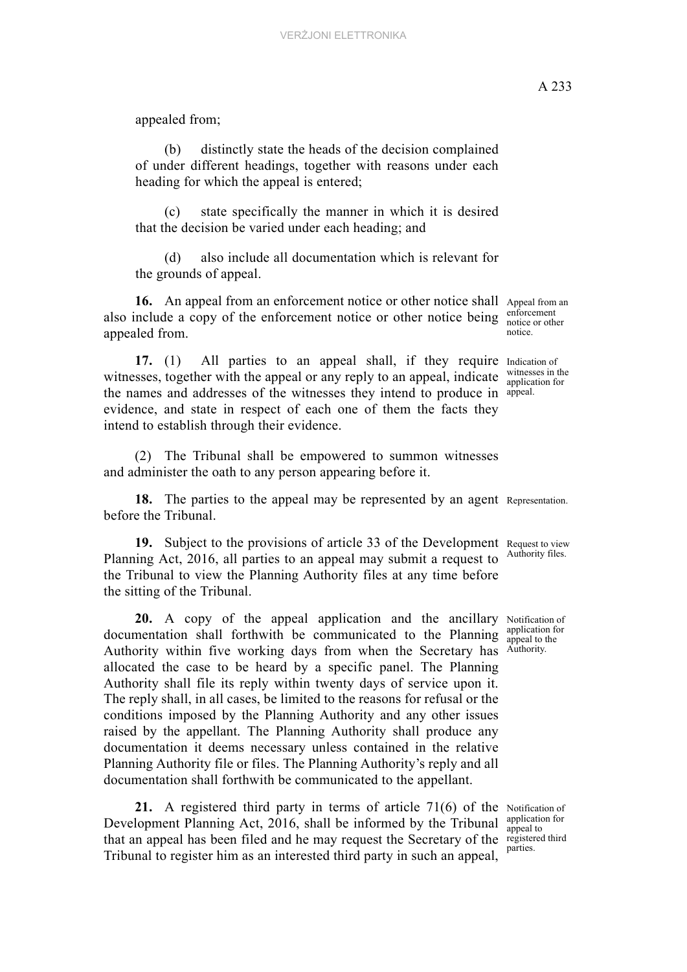(b) distinctly state the heads of the decision complained of under different headings, together with reasons under each heading for which the appeal is entered;

(c) state specifically the manner in which it is desired that the decision be varied under each heading; and

(d) also include all documentation which is relevant for the grounds of appeal.

16. An appeal from an enforcement notice or other notice shall Appeal from an also include a copy of the enforcement notice or other notice being  $\frac{\text{entorement}}{\text{notice or other}}$ appealed from.

17. (1) All parties to an appeal shall, if they require Indication of witnesses, together with the appeal or any reply to an appeal, indicate  $\frac{\text{witnesses in the}}{\text{application for}}$ the names and addresses of the witnesses they intend to produce in appeal. evidence, and state in respect of each one of them the facts they intend to establish through their evidence.

(2) The Tribunal shall be empowered to summon witnesses and administer the oath to any person appearing before it.

**18.** The parties to the appeal may be represented by an agent Representation. before the Tribunal.

19. Subject to the provisions of article 33 of the Development Request to view Authority files. Planning Act, 2016, all parties to an appeal may submit a request to the Tribunal to view the Planning Authority files at any time before the sitting of the Tribunal.

20. A copy of the appeal application and the ancillary Notification of documentation shall forthwith be communicated to the Planning  $\frac{\text{application to the}}{\text{appeal to the}}$ Authority within five working days from when the Secretary has Authority. allocated the case to be heard by a specific panel. The Planning Authority shall file its reply within twenty days of service upon it. The reply shall, in all cases, be limited to the reasons for refusal or the conditions imposed by the Planning Authority and any other issues raised by the appellant. The Planning Authority shall produce any documentation it deems necessary unless contained in the relative Planning Authority file or files. The Planning Authority's reply and all documentation shall forthwith be communicated to the appellant.

21. A registered third party in terms of article  $71(6)$  of the Notification of that an appeal has been filed and he may request the Secretary of the register Development Planning Act, 2016, shall be informed by the Tribunal Tribunal to register him as an interested third party in such an appeal,

enforcement notice.

witnesses in the

application for

application for appeal to registered third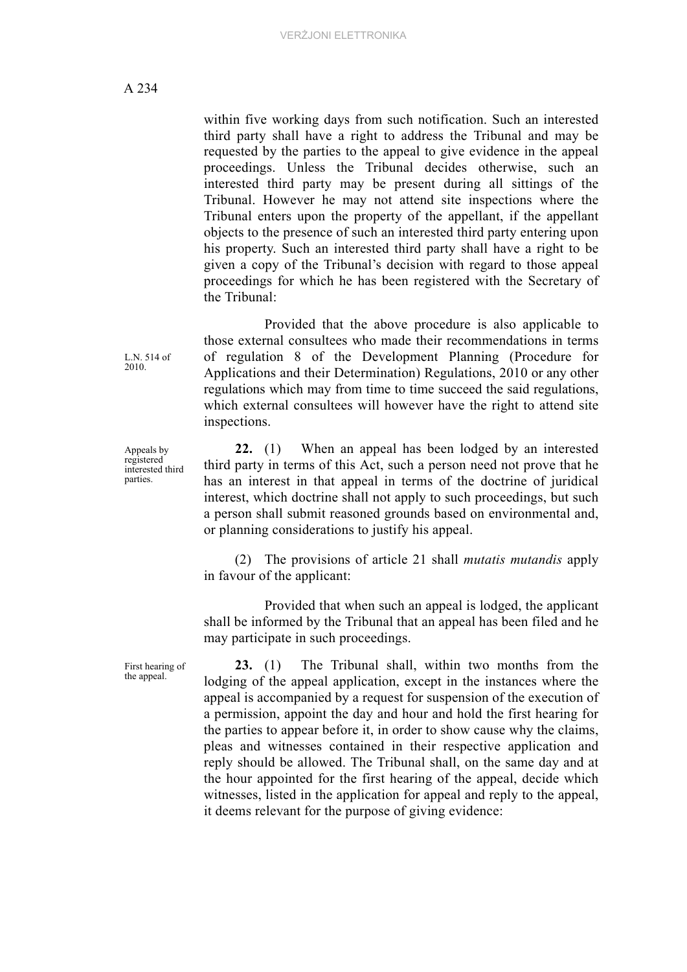within five working days from such notification. Such an interested third party shall have a right to address the Tribunal and may be requested by the parties to the appeal to give evidence in the appeal proceedings. Unless the Tribunal decides otherwise, such an interested third party may be present during all sittings of the Tribunal. However he may not attend site inspections where the Tribunal enters upon the property of the appellant, if the appellant objects to the presence of such an interested third party entering upon his property. Such an interested third party shall have a right to be given a copy of the Tribunal's decision with regard to those appeal proceedings for which he has been registered with the Secretary of the Tribunal:

Provided that the above procedure is also applicable to those external consultees who made their recommendations in terms of regulation 8 of the Development Planning (Procedure for Applications and their Determination) Regulations, 2010 or any other regulations which may from time to time succeed the said regulations, which external consultees will however have the right to attend site inspections.

**22.** (1) When an appeal has been lodged by an interested third party in terms of this Act, such a person need not prove that he has an interest in that appeal in terms of the doctrine of juridical interest, which doctrine shall not apply to such proceedings, but such a person shall submit reasoned grounds based on environmental and, or planning considerations to justify his appeal.

(2) The provisions of article 21 shall *mutatis mutandis* apply in favour of the applicant:

Provided that when such an appeal is lodged, the applicant shall be informed by the Tribunal that an appeal has been filed and he may participate in such proceedings.

**23.** (1) The Tribunal shall, within two months from the lodging of the appeal application, except in the instances where the appeal is accompanied by a request for suspension of the execution of a permission, appoint the day and hour and hold the first hearing for the parties to appear before it, in order to show cause why the claims, pleas and witnesses contained in their respective application and reply should be allowed. The Tribunal shall, on the same day and at the hour appointed for the first hearing of the appeal, decide which witnesses, listed in the application for appeal and reply to the appeal, it deems relevant for the purpose of giving evidence:

L.N. 514 of 2010.

Appeals by registered interested third parties.

First hearing of the appeal.

A 234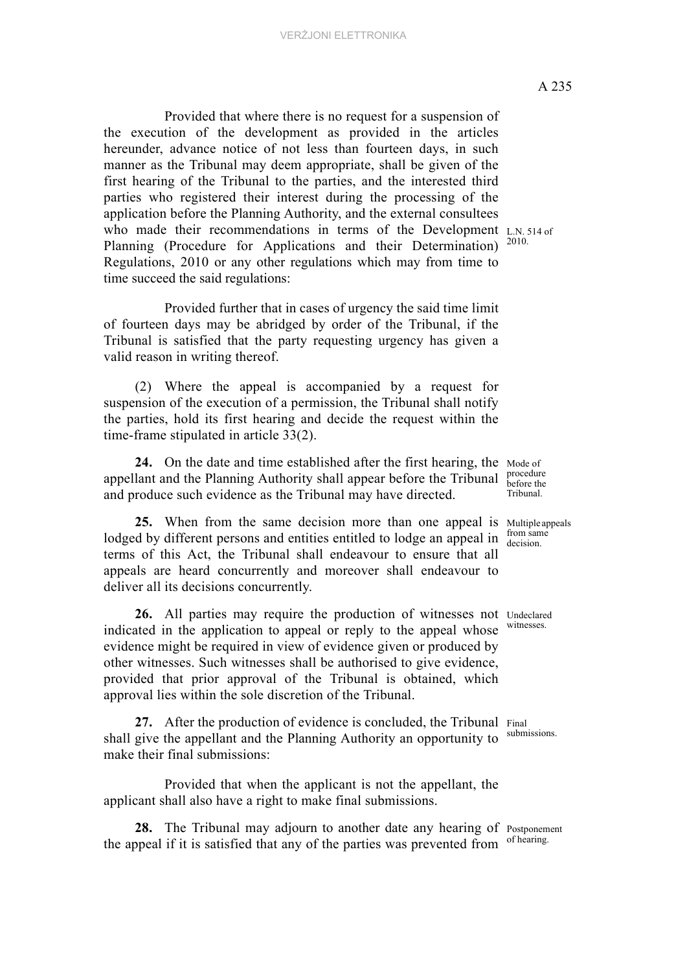who made their recommendations in terms of the Development L.N. 514 of Planning (Procedure for Applications and their Determination)<sup>2010.</sup> Provided that where there is no request for a suspension of the execution of the development as provided in the articles hereunder, advance notice of not less than fourteen days, in such manner as the Tribunal may deem appropriate, shall be given of the first hearing of the Tribunal to the parties, and the interested third parties who registered their interest during the processing of the application before the Planning Authority, and the external consultees Regulations, 2010 or any other regulations which may from time to time succeed the said regulations:

 Provided further that in cases of urgency the said time limit of fourteen days may be abridged by order of the Tribunal, if the Tribunal is satisfied that the party requesting urgency has given a valid reason in writing thereof.

(2) Where the appeal is accompanied by a request for suspension of the execution of a permission, the Tribunal shall notify the parties, hold its first hearing and decide the request within the time-frame stipulated in article 33(2).

24. On the date and time established after the first hearing, the Mode of procedure appellant and the Planning Authority shall appear before the Tribunal  $\frac{\text{procedure}}{\text{before the}}$ Tribunal. and produce such evidence as the Tribunal may have directed.

25. When from the same decision more than one appeal is Multiple appeals lodged by different persons and entities entitled to lodge an appeal in  $\frac{\text{from sam}}{\text{decision}}$ terms of this Act, the Tribunal shall endeavour to ensure that all appeals are heard concurrently and moreover shall endeavour to deliver all its decisions concurrently.

26. All parties may require the production of witnesses not Undeclared indicated in the application to appeal or reply to the appeal whose evidence might be required in view of evidence given or produced by other witnesses. Such witnesses shall be authorised to give evidence, provided that prior approval of the Tribunal is obtained, which approval lies within the sole discretion of the Tribunal.

27. After the production of evidence is concluded, the Tribunal Final shall give the appellant and the Planning Authority an opportunity to submissions. make their final submissions:

Provided that when the applicant is not the appellant, the applicant shall also have a right to make final submissions.

28. The Tribunal may adjourn to another date any hearing of Postponement the appeal if it is satisfied that any of the parties was prevented from of hearing.

from same

witnesses.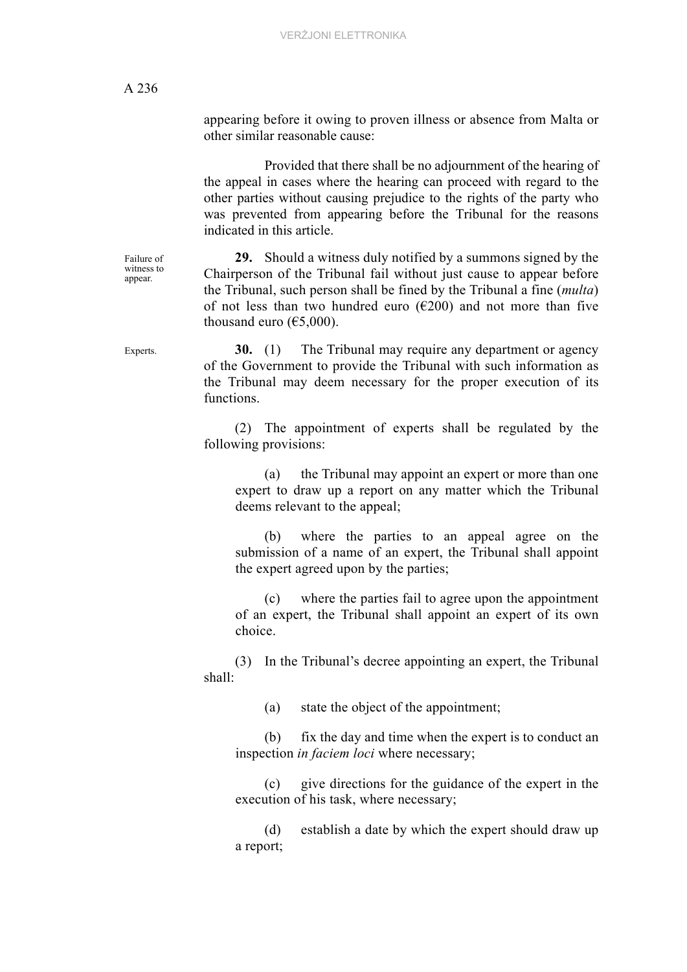appearing before it owing to proven illness or absence from Malta or other similar reasonable cause:

Provided that there shall be no adjournment of the hearing of the appeal in cases where the hearing can proceed with regard to the other parties without causing prejudice to the rights of the party who was prevented from appearing before the Tribunal for the reasons indicated in this article.

**29.** Should a witness duly notified by a summons signed by the Chairperson of the Tribunal fail without just cause to appear before the Tribunal, such person shall be fined by the Tribunal a fine (*multa*) of not less than two hundred euro ( $\epsilon$ 200) and not more than five thousand euro  $(65,000)$ .

Experts. **30.** (1) The Tribunal may require any department or agency of the Government to provide the Tribunal with such information as the Tribunal may deem necessary for the proper execution of its functions.

> (2) The appointment of experts shall be regulated by the following provisions:

(a) the Tribunal may appoint an expert or more than one expert to draw up a report on any matter which the Tribunal deems relevant to the appeal;

(b) where the parties to an appeal agree on the submission of a name of an expert, the Tribunal shall appoint the expert agreed upon by the parties;

(c) where the parties fail to agree upon the appointment of an expert, the Tribunal shall appoint an expert of its own choice.

(3) In the Tribunal's decree appointing an expert, the Tribunal shall:

(a) state the object of the appointment;

(b) fix the day and time when the expert is to conduct an inspection *in faciem loci* where necessary;

(c) give directions for the guidance of the expert in the execution of his task, where necessary;

(d) establish a date by which the expert should draw up a report;

Failure of witness to appear.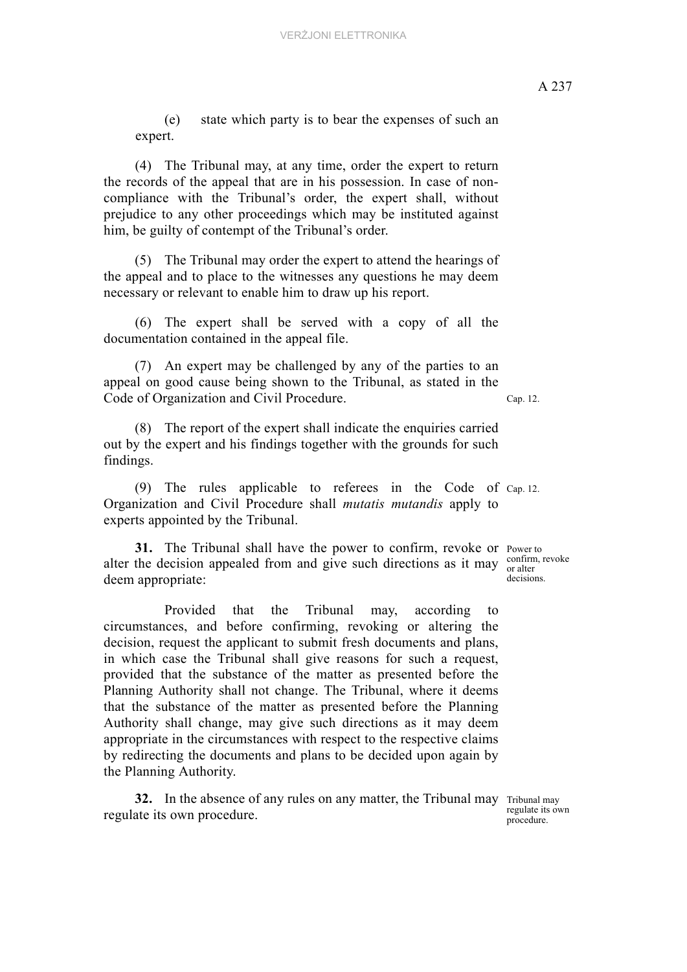(e) state which party is to bear the expenses of such an expert.

(4) The Tribunal may, at any time, order the expert to return the records of the appeal that are in his possession. In case of noncompliance with the Tribunal's order, the expert shall, without prejudice to any other proceedings which may be instituted against him, be guilty of contempt of the Tribunal's order.

(5) The Tribunal may order the expert to attend the hearings of the appeal and to place to the witnesses any questions he may deem necessary or relevant to enable him to draw up his report.

(6) The expert shall be served with a copy of all the documentation contained in the appeal file.

(7) An expert may be challenged by any of the parties to an appeal on good cause being shown to the Tribunal, as stated in the Code of Organization and Civil Procedure.

(8) The report of the expert shall indicate the enquiries carried out by the expert and his findings together with the grounds for such findings.

(9) The rules applicable to referees in the Code of Cap. 12. Organization and Civil Procedure shall *mutatis mutandis* apply to experts appointed by the Tribunal.

31. The Tribunal shall have the power to confirm, revoke or Power to alter the decision appealed from and give such directions as it may  $\frac{\text{conform}}{\text{or alter}}$ deem appropriate:

Provided that the Tribunal may, according to circumstances, and before confirming, revoking or altering the decision, request the applicant to submit fresh documents and plans, in which case the Tribunal shall give reasons for such a request, provided that the substance of the matter as presented before the Planning Authority shall not change. The Tribunal, where it deems that the substance of the matter as presented before the Planning Authority shall change, may give such directions as it may deem appropriate in the circumstances with respect to the respective claims by redirecting the documents and plans to be decided upon again by the Planning Authority.

32. In the absence of any rules on any matter, the Tribunal may Tribunal may regulate its own procedure.

regulate its own procedure.

confirm, revoke decisions.

Cap. 12.

A 237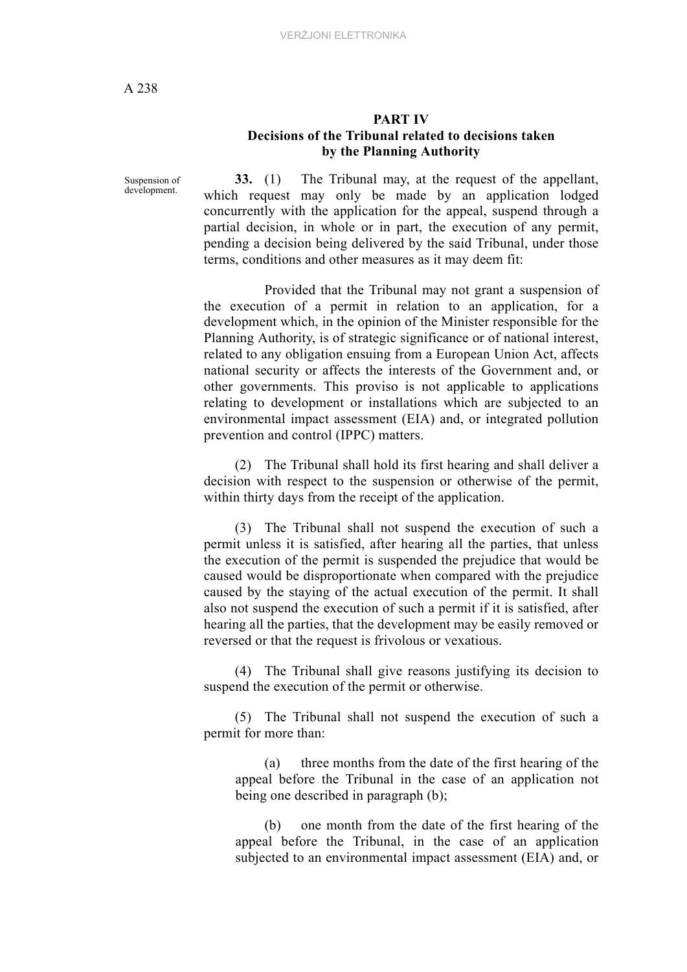### **PART IV Decisions of the Tribunal related to decisions taken by the Planning Authority**

Suspension of development.

**33.** (1) The Tribunal may, at the request of the appellant, which request may only be made by an application lodged concurrently with the application for the appeal, suspend through a partial decision, in whole or in part, the execution of any permit, pending a decision being delivered by the said Tribunal, under those terms, conditions and other measures as it may deem fit:

Provided that the Tribunal may not grant a suspension of the execution of a permit in relation to an application, for a development which, in the opinion of the Minister responsible for the Planning Authority, is of strategic significance or of national interest, related to any obligation ensuing from a European Union Act, affects national security or affects the interests of the Government and, or other governments. This proviso is not applicable to applications relating to development or installations which are subjected to an environmental impact assessment (EIA) and, or integrated pollution prevention and control (IPPC) matters.

(2) The Tribunal shall hold its first hearing and shall deliver a decision with respect to the suspension or otherwise of the permit, within thirty days from the receipt of the application.

(3) The Tribunal shall not suspend the execution of such a permit unless it is satisfied, after hearing all the parties, that unless the execution of the permit is suspended the prejudice that would be caused would be disproportionate when compared with the prejudice caused by the staying of the actual execution of the permit. It shall also not suspend the execution of such a permit if it is satisfied, after hearing all the parties, that the development may be easily removed or reversed or that the request is frivolous or vexatious.

(4) The Tribunal shall give reasons justifying its decision to suspend the execution of the permit or otherwise.

(5) The Tribunal shall not suspend the execution of such a permit for more than:

(a) three months from the date of the first hearing of the appeal before the Tribunal in the case of an application not being one described in paragraph (b);

(b) one month from the date of the first hearing of the appeal before the Tribunal, in the case of an application subjected to an environmental impact assessment (EIA) and, or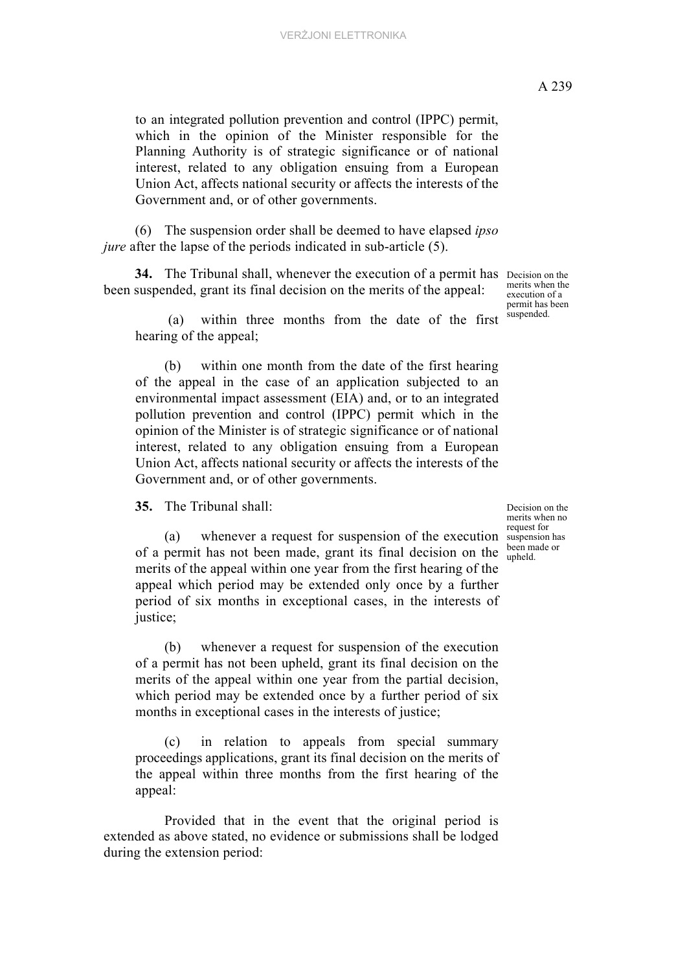to an integrated pollution prevention and control (IPPC) permit, which in the opinion of the Minister responsible for the Planning Authority is of strategic significance or of national interest, related to any obligation ensuing from a European Union Act, affects national security or affects the interests of the Government and, or of other governments.

(6) The suspension order shall be deemed to have elapsed *ipso jure* after the lapse of the periods indicated in sub-article (5).

34. The Tribunal shall, whenever the execution of a permit has Decision on the been suspended, grant its final decision on the merits of the appeal:

 (a) within three months from the date of the first hearing of the appeal;

(b) within one month from the date of the first hearing of the appeal in the case of an application subjected to an environmental impact assessment (EIA) and, or to an integrated pollution prevention and control (IPPC) permit which in the opinion of the Minister is of strategic significance or of national interest, related to any obligation ensuing from a European Union Act, affects national security or affects the interests of the Government and, or of other governments.

**35.** The Tribunal shall:

(a) whenever a request for suspension of the execution suspension has of a permit has not been made, grant its final decision on the  $\frac{\text{been m}}{\text{upheld}}$ merits of the appeal within one year from the first hearing of the appeal which period may be extended only once by a further period of six months in exceptional cases, in the interests of justice;

(b) whenever a request for suspension of the execution of a permit has not been upheld, grant its final decision on the merits of the appeal within one year from the partial decision, which period may be extended once by a further period of six months in exceptional cases in the interests of justice;

(c) in relation to appeals from special summary proceedings applications, grant its final decision on the merits of the appeal within three months from the first hearing of the appeal:

Provided that in the event that the original period is extended as above stated, no evidence or submissions shall be lodged during the extension period:

Decision on the merits when no request for been made or

merits when the execution of a permit has been suspended.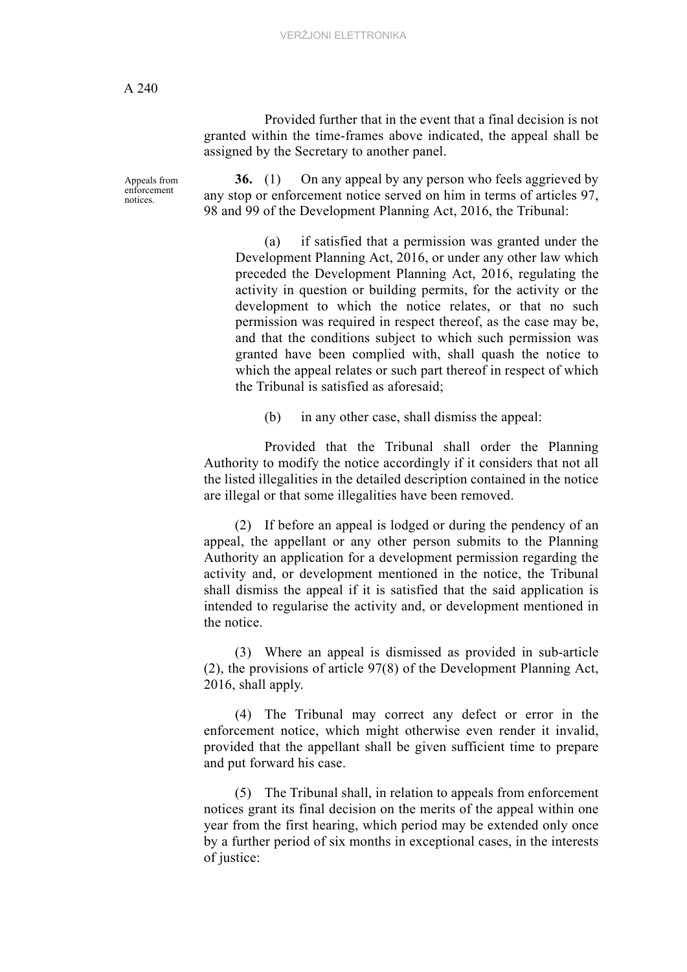Provided further that in the event that a final decision is not granted within the time-frames above indicated, the appeal shall be assigned by the Secretary to another panel.

Appeals from enforcement notices.

**36.** (1) On any appeal by any person who feels aggrieved by any stop or enforcement notice served on him in terms of articles 97, 98 and 99 of the Development Planning Act, 2016, the Tribunal:

(a) if satisfied that a permission was granted under the Development Planning Act, 2016, or under any other law which preceded the Development Planning Act, 2016, regulating the activity in question or building permits, for the activity or the development to which the notice relates, or that no such permission was required in respect thereof, as the case may be, and that the conditions subject to which such permission was granted have been complied with, shall quash the notice to which the appeal relates or such part thereof in respect of which the Tribunal is satisfied as aforesaid;

(b) in any other case, shall dismiss the appeal:

 Provided that the Tribunal shall order the Planning Authority to modify the notice accordingly if it considers that not all the listed illegalities in the detailed description contained in the notice are illegal or that some illegalities have been removed.

(2) If before an appeal is lodged or during the pendency of an appeal, the appellant or any other person submits to the Planning Authority an application for a development permission regarding the activity and, or development mentioned in the notice, the Tribunal shall dismiss the appeal if it is satisfied that the said application is intended to regularise the activity and, or development mentioned in the notice.

(3) Where an appeal is dismissed as provided in sub-article (2), the provisions of article 97(8) of the Development Planning Act, 2016, shall apply.

(4) The Tribunal may correct any defect or error in the enforcement notice, which might otherwise even render it invalid, provided that the appellant shall be given sufficient time to prepare and put forward his case.

(5) The Tribunal shall, in relation to appeals from enforcement notices grant its final decision on the merits of the appeal within one year from the first hearing, which period may be extended only once by a further period of six months in exceptional cases, in the interests of justice: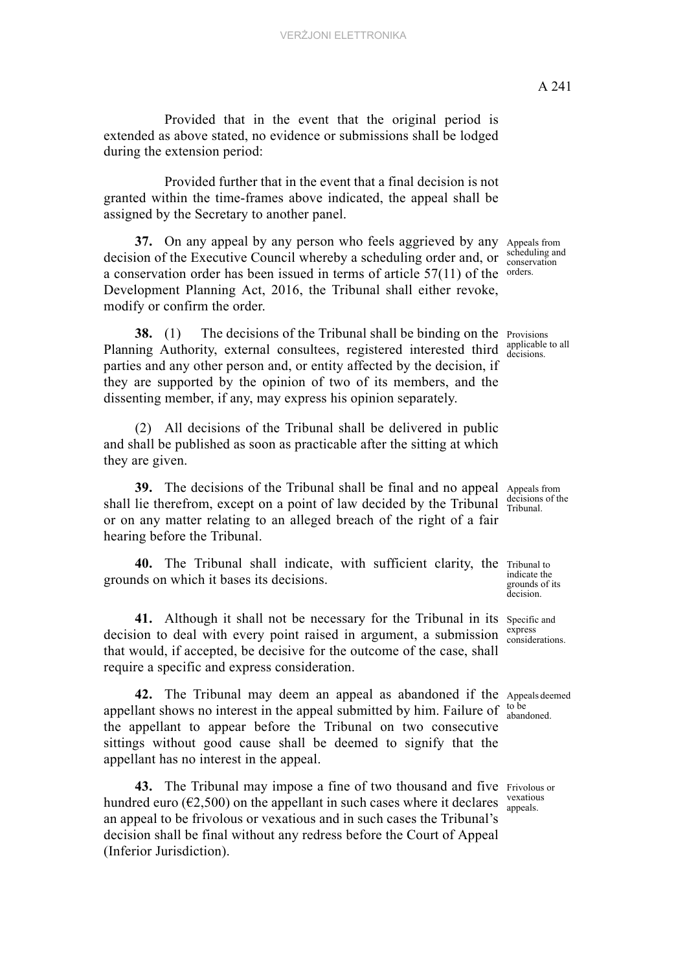Provided that in the event that the original period is extended as above stated, no evidence or submissions shall be lodged during the extension period:

Provided further that in the event that a final decision is not granted within the time-frames above indicated, the appeal shall be assigned by the Secretary to another panel.

a conservation order has been issued in terms of article  $57(11)$  of the orders. **37.** On any appeal by any person who feels aggrieved by any decision of the Executive Council whereby a scheduling order and, or Development Planning Act, 2016, the Tribunal shall either revoke, modify or confirm the order.

**38.** (1) The decisions of the Tribunal shall be binding on the Provisions Planning Authority, external consultees, registered interested third applicable parties and any other person and, or entity affected by the decision, if they are supported by the opinion of two of its members, and the dissenting member, if any, may express his opinion separately.

(2) All decisions of the Tribunal shall be delivered in public and shall be published as soon as practicable after the sitting at which they are given.

**39.** The decisions of the Tribunal shall be final and no appeal Appeals from shall lie therefrom, except on a point of law decided by the Tribunal  $\frac{\text{decisons}}{\text{Tribunal}}$ or on any matter relating to an alleged breach of the right of a fair hearing before the Tribunal.

40. The Tribunal shall indicate, with sufficient clarity, the Tribunal to grounds on which it bases its decisions.

41. Although it shall not be necessary for the Tribunal in its specific and decision to deal with every point raised in argument, a submission  $\frac{\text{express}}{\text{considerations}}$ that would, if accepted, be decisive for the outcome of the case, shall require a specific and express consideration.

42. The Tribunal may deem an appeal as abandoned if the Appeals deemed appellant shows no interest in the appeal submitted by him. Failure of  $_{\text{abang}}^{\text{to be}}$ the appellant to appear before the Tribunal on two consecutive sittings without good cause shall be deemed to signify that the appellant has no interest in the appeal.

43. The Tribunal may impose a fine of two thousand and five Frivolous or hundred euro ( $\epsilon$ 2,500) on the appellant in such cases where it declares  $\frac{V}{\text{expeals}}$ an appeal to be frivolous or vexatious and in such cases the Tribunal's decision shall be final without any redress before the Court of Appeal (Inferior Jurisdiction).

Appeals from scheduling and conservation

applicable to all

decisions of the

indicate the grounds of its decision.

express

abandoned.

vexatious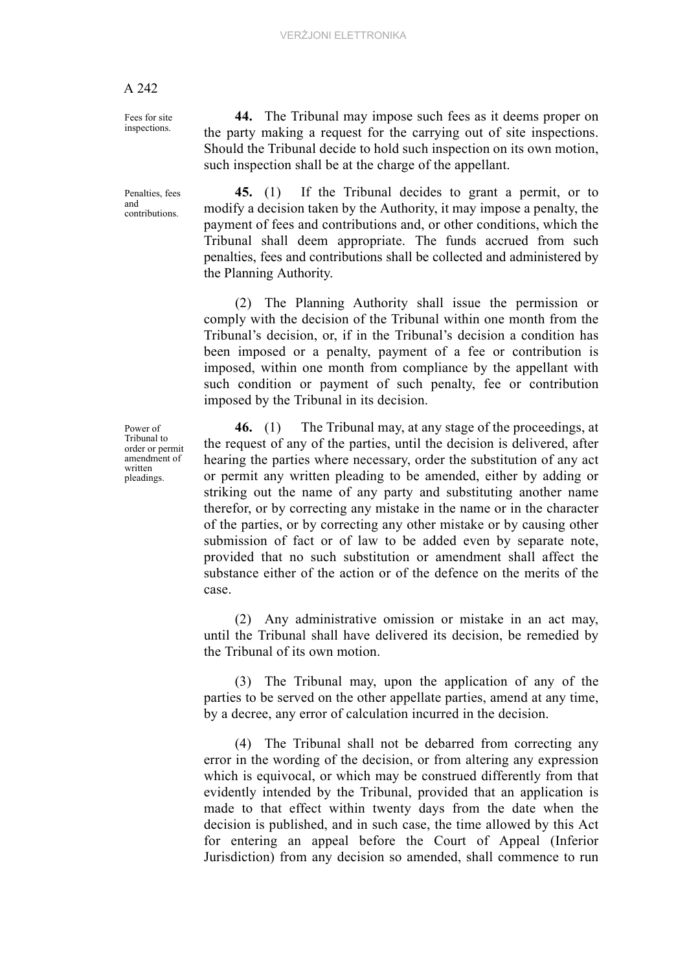such inspection shall be at the charge of the appellant.

#### A 242

Fees for site inspections.

Penalties, fees and contributions.

**45.** (1) If the Tribunal decides to grant a permit, or to modify a decision taken by the Authority, it may impose a penalty, the payment of fees and contributions and, or other conditions, which the Tribunal shall deem appropriate. The funds accrued from such penalties, fees and contributions shall be collected and administered by the Planning Authority.

**44.** The Tribunal may impose such fees as it deems proper on the party making a request for the carrying out of site inspections. Should the Tribunal decide to hold such inspection on its own motion,

(2) The Planning Authority shall issue the permission or comply with the decision of the Tribunal within one month from the Tribunal's decision, or, if in the Tribunal's decision a condition has been imposed or a penalty, payment of a fee or contribution is imposed, within one month from compliance by the appellant with such condition or payment of such penalty, fee or contribution imposed by the Tribunal in its decision.

**46.** (1) The Tribunal may, at any stage of the proceedings, at the request of any of the parties, until the decision is delivered, after hearing the parties where necessary, order the substitution of any act or permit any written pleading to be amended, either by adding or striking out the name of any party and substituting another name therefor, or by correcting any mistake in the name or in the character of the parties, or by correcting any other mistake or by causing other submission of fact or of law to be added even by separate note, provided that no such substitution or amendment shall affect the substance either of the action or of the defence on the merits of the case.

(2) Any administrative omission or mistake in an act may, until the Tribunal shall have delivered its decision, be remedied by the Tribunal of its own motion.

(3) The Tribunal may, upon the application of any of the parties to be served on the other appellate parties, amend at any time, by a decree, any error of calculation incurred in the decision.

(4) The Tribunal shall not be debarred from correcting any error in the wording of the decision, or from altering any expression which is equivocal, or which may be construed differently from that evidently intended by the Tribunal, provided that an application is made to that effect within twenty days from the date when the decision is published, and in such case, the time allowed by this Act for entering an appeal before the Court of Appeal (Inferior Jurisdiction) from any decision so amended, shall commence to run

Power of Tribunal to order or permit amendment of written pleadings.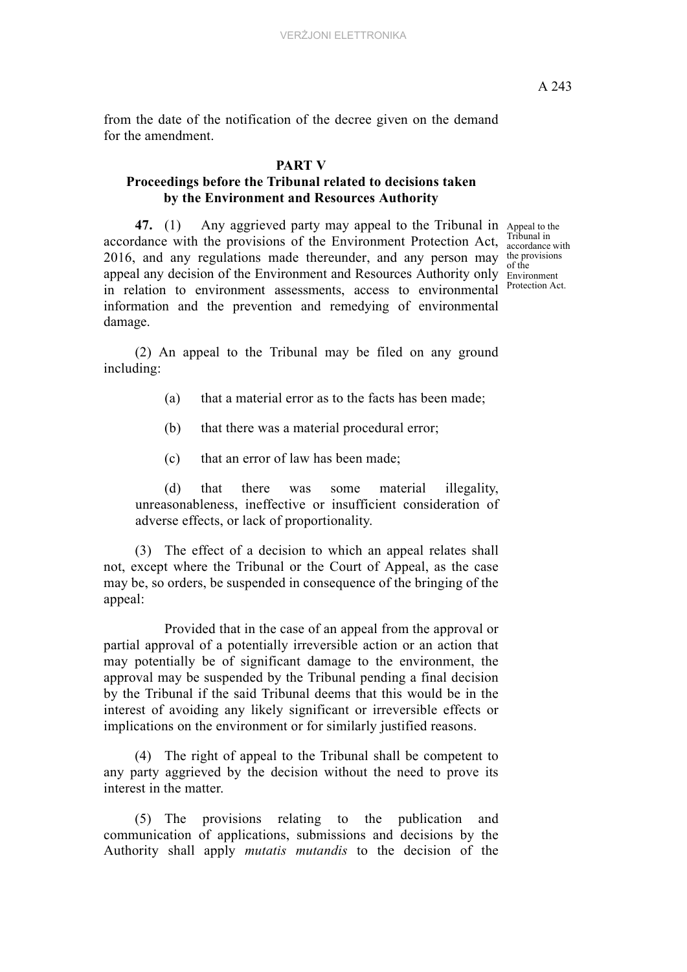from the date of the notification of the decree given on the demand for the amendment.

### **PART V**

# **Proceedings before the Tribunal related to decisions taken by the Environment and Resources Authority**

47. (1) Any aggrieved party may appeal to the Tribunal in Appeal to the accordance with the provisions of the Environment Protection Act,  $\frac{1 \text{p} \cdot \text{p} \cdot \text{p}}{3 \text{p} \cdot \text{p} \cdot \text{p}}$ 2016, and any regulations made thereunder, and any person may the provisions appeal any decision of the Environment and Resources Authority only Environment in relation to environment assessments, access to environmental Protection Act. information and the prevention and remedying of environmental damage.

Tribunal in of the

(2) An appeal to the Tribunal may be filed on any ground including:

- (a) that a material error as to the facts has been made;
- (b) that there was a material procedural error;
- (c) that an error of law has been made;

(d) that there was some material illegality, unreasonableness, ineffective or insufficient consideration of adverse effects, or lack of proportionality.

(3) The effect of a decision to which an appeal relates shall not, except where the Tribunal or the Court of Appeal, as the case may be, so orders, be suspended in consequence of the bringing of the appeal:

Provided that in the case of an appeal from the approval or partial approval of a potentially irreversible action or an action that may potentially be of significant damage to the environment, the approval may be suspended by the Tribunal pending a final decision by the Tribunal if the said Tribunal deems that this would be in the interest of avoiding any likely significant or irreversible effects or implications on the environment or for similarly justified reasons.

(4) The right of appeal to the Tribunal shall be competent to any party aggrieved by the decision without the need to prove its interest in the matter.

(5) The provisions relating to the publication and communication of applications, submissions and decisions by the Authority shall apply *mutatis mutandis* to the decision of the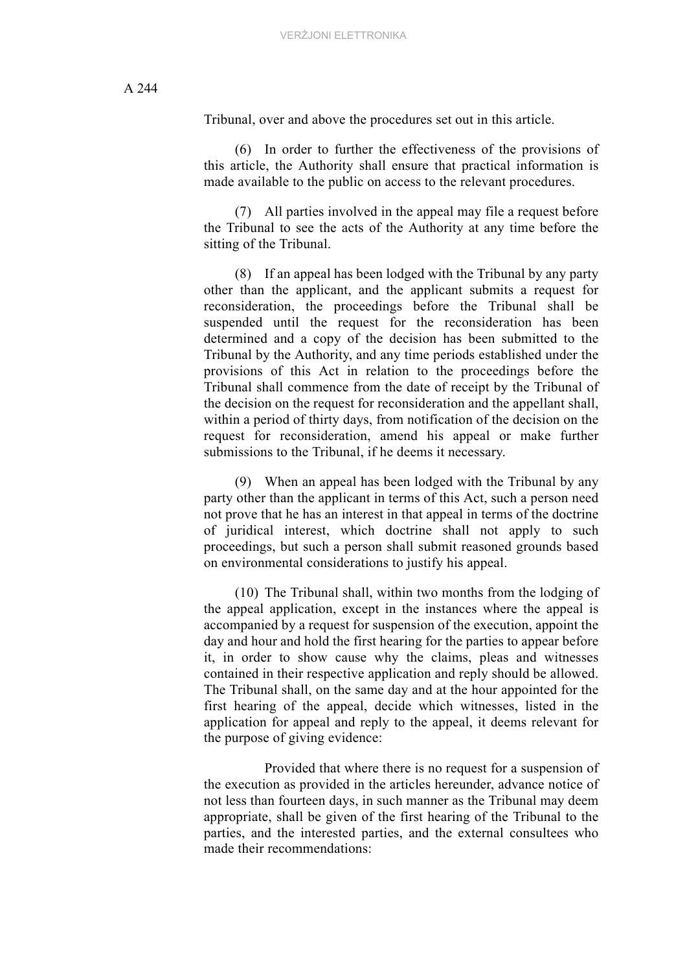Tribunal, over and above the procedures set out in this article.

(6) In order to further the effectiveness of the provisions of this article, the Authority shall ensure that practical information is made available to the public on access to the relevant procedures.

(7) All parties involved in the appeal may file a request before the Tribunal to see the acts of the Authority at any time before the sitting of the Tribunal.

(8) If an appeal has been lodged with the Tribunal by any party other than the applicant, and the applicant submits a request for reconsideration, the proceedings before the Tribunal shall be suspended until the request for the reconsideration has been determined and a copy of the decision has been submitted to the Tribunal by the Authority, and any time periods established under the provisions of this Act in relation to the proceedings before the Tribunal shall commence from the date of receipt by the Tribunal of the decision on the request for reconsideration and the appellant shall, within a period of thirty days, from notification of the decision on the request for reconsideration, amend his appeal or make further submissions to the Tribunal, if he deems it necessary.

(9) When an appeal has been lodged with the Tribunal by any party other than the applicant in terms of this Act, such a person need not prove that he has an interest in that appeal in terms of the doctrine of juridical interest, which doctrine shall not apply to such proceedings, but such a person shall submit reasoned grounds based on environmental considerations to justify his appeal.

(10) The Tribunal shall, within two months from the lodging of the appeal application, except in the instances where the appeal is accompanied by a request for suspension of the execution, appoint the day and hour and hold the first hearing for the parties to appear before it, in order to show cause why the claims, pleas and witnesses contained in their respective application and reply should be allowed. The Tribunal shall, on the same day and at the hour appointed for the first hearing of the appeal, decide which witnesses, listed in the application for appeal and reply to the appeal, it deems relevant for the purpose of giving evidence:

Provided that where there is no request for a suspension of the execution as provided in the articles hereunder, advance notice of not less than fourteen days, in such manner as the Tribunal may deem appropriate, shall be given of the first hearing of the Tribunal to the parties, and the interested parties, and the external consultees who made their recommendations: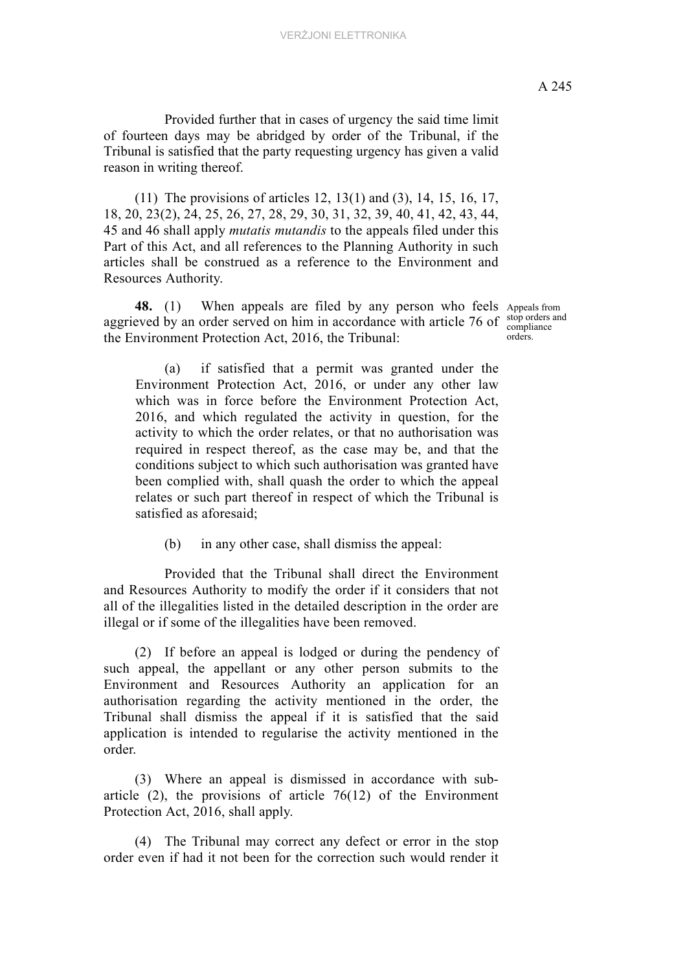(11) The provisions of articles 12, 13(1) and (3), 14, 15, 16, 17, 18, 20, 23(2), 24, 25, 26, 27, 28, 29, 30, 31, 32, 39, 40, 41, 42, 43, 44, 45 and 46 shall apply *mutatis mutandis* to the appeals filed under this Part of this Act, and all references to the Planning Authority in such articles shall be construed as a reference to the Environment and Resources Authority.

48. (1) When appeals are filed by any person who feels Appeals from aggrieved by an order served on him in accordance with article 76 of  $\frac{\text{stop orders}}{\text{compliance}}$ the Environment Protection Act, 2016, the Tribunal:

stop orders and orders.

(a) if satisfied that a permit was granted under the Environment Protection Act, 2016, or under any other law which was in force before the Environment Protection Act, 2016, and which regulated the activity in question, for the activity to which the order relates, or that no authorisation was required in respect thereof, as the case may be, and that the conditions subject to which such authorisation was granted have been complied with, shall quash the order to which the appeal relates or such part thereof in respect of which the Tribunal is satisfied as aforesaid;

(b) in any other case, shall dismiss the appeal:

Provided that the Tribunal shall direct the Environment and Resources Authority to modify the order if it considers that not all of the illegalities listed in the detailed description in the order are illegal or if some of the illegalities have been removed.

(2) If before an appeal is lodged or during the pendency of such appeal, the appellant or any other person submits to the Environment and Resources Authority an application for an authorisation regarding the activity mentioned in the order, the Tribunal shall dismiss the appeal if it is satisfied that the said application is intended to regularise the activity mentioned in the order.

(3) Where an appeal is dismissed in accordance with subarticle  $(2)$ , the provisions of article 76(12) of the Environment Protection Act, 2016, shall apply.

(4) The Tribunal may correct any defect or error in the stop order even if had it not been for the correction such would render it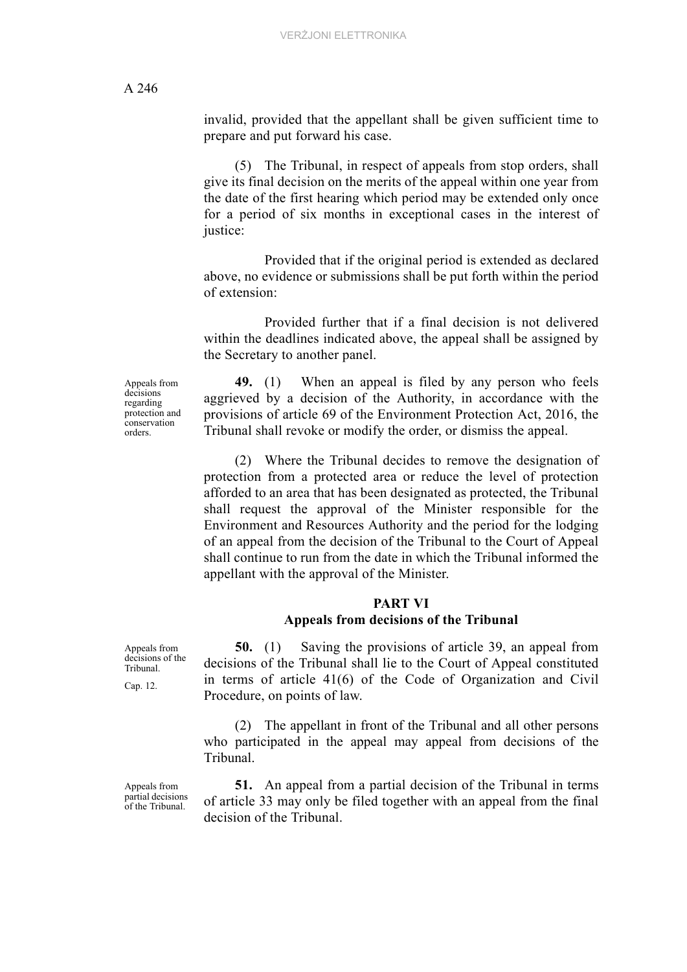invalid, provided that the appellant shall be given sufficient time to prepare and put forward his case.

(5) The Tribunal, in respect of appeals from stop orders, shall give its final decision on the merits of the appeal within one year from the date of the first hearing which period may be extended only once for a period of six months in exceptional cases in the interest of justice:

Provided that if the original period is extended as declared above, no evidence or submissions shall be put forth within the period of extension:

Provided further that if a final decision is not delivered within the deadlines indicated above, the appeal shall be assigned by the Secretary to another panel.

**49.** (1) When an appeal is filed by any person who feels aggrieved by a decision of the Authority, in accordance with the provisions of article 69 of the Environment Protection Act, 2016, the Tribunal shall revoke or modify the order, or dismiss the appeal.

(2) Where the Tribunal decides to remove the designation of protection from a protected area or reduce the level of protection afforded to an area that has been designated as protected, the Tribunal shall request the approval of the Minister responsible for the Environment and Resources Authority and the period for the lodging of an appeal from the decision of the Tribunal to the Court of Appeal shall continue to run from the date in which the Tribunal informed the appellant with the approval of the Minister.

#### **PART VI Appeals from decisions of the Tribunal**

**50.** (1) Saving the provisions of article 39, an appeal from decisions of the Tribunal shall lie to the Court of Appeal constituted in terms of article 41(6) of the Code of Organization and Civil Procedure, on points of law.

(2) The appellant in front of the Tribunal and all other persons who participated in the appeal may appeal from decisions of the Tribunal.

**51.** An appeal from a partial decision of the Tribunal in terms of article 33 may only be filed together with an appeal from the final decision of the Tribunal.

Appeals from decisions regarding protection and conservation orders.

Appeals from decisions of the Tribunal.

Cap. 12.

Appeals from partial decisions of the Tribunal.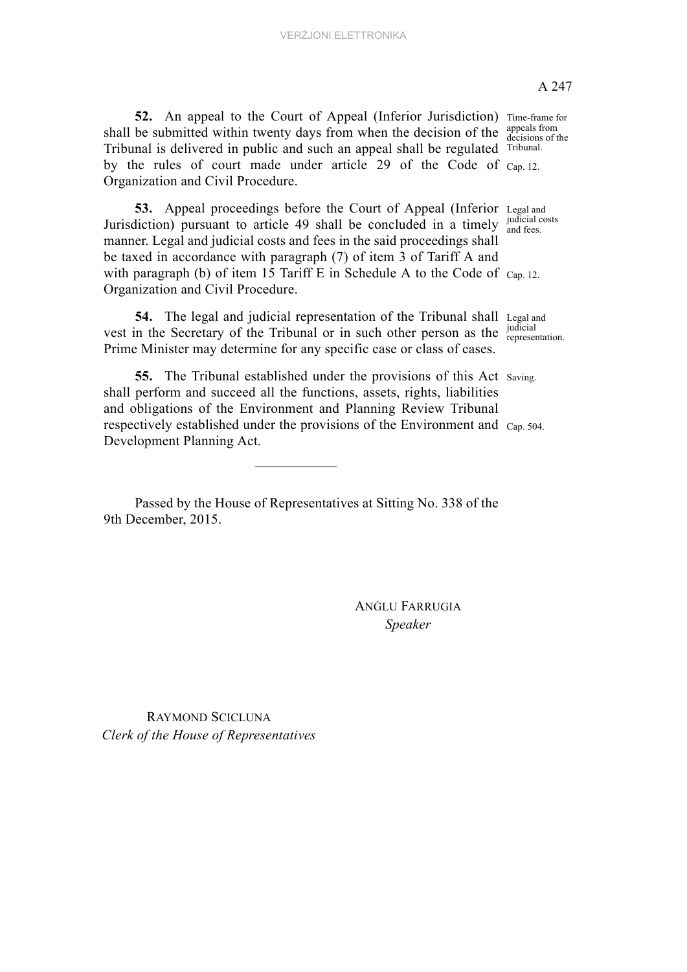52. An appeal to the Court of Appeal (Inferior Jurisdiction) Time-frame for by the rules of court made under article 29 of the Code of Cap. 12. shall be submitted within twenty days from when the decision of the Tribunal is delivered in public and such an appeal shall be regulated Organization and Civil Procedure.

53. Appeal proceedings before the Court of Appeal (Inferior Legal and Jurisdiction) pursuant to article 49 shall be concluded in a timely  $\frac{Judicial}{and fees}$ with paragraph (b) of item 15 Tariff E in Schedule A to the Code of  $_{Cap. 12}$ manner. Legal and judicial costs and fees in the said proceedings shall be taxed in accordance with paragraph (7) of item 3 of Tariff A and Organization and Civil Procedure.

54. The legal and judicial representation of the Tribunal shall Legal and vest in the Secretary of the Tribunal or in such other person as the  $\frac{Judicial}{Lapresentation}$ Prime Minister may determine for any specific case or class of cases.

**55.** The Tribunal established under the provisions of this Act saving. respectively established under the provisions of the Environment and Cap. 504. shall perform and succeed all the functions, assets, rights, liabilities and obligations of the Environment and Planning Review Tribunal Development Planning Act.

Passed by the House of Representatives at Sitting No. 338 of the 9th December, 2015.

> ANĠLU FARRUGIA *Speaker*

RAYMOND SCICLUNA *Clerk of the House of Representatives* A 247

appeals from decisions of the Tribunal.

judicial costs

judicial